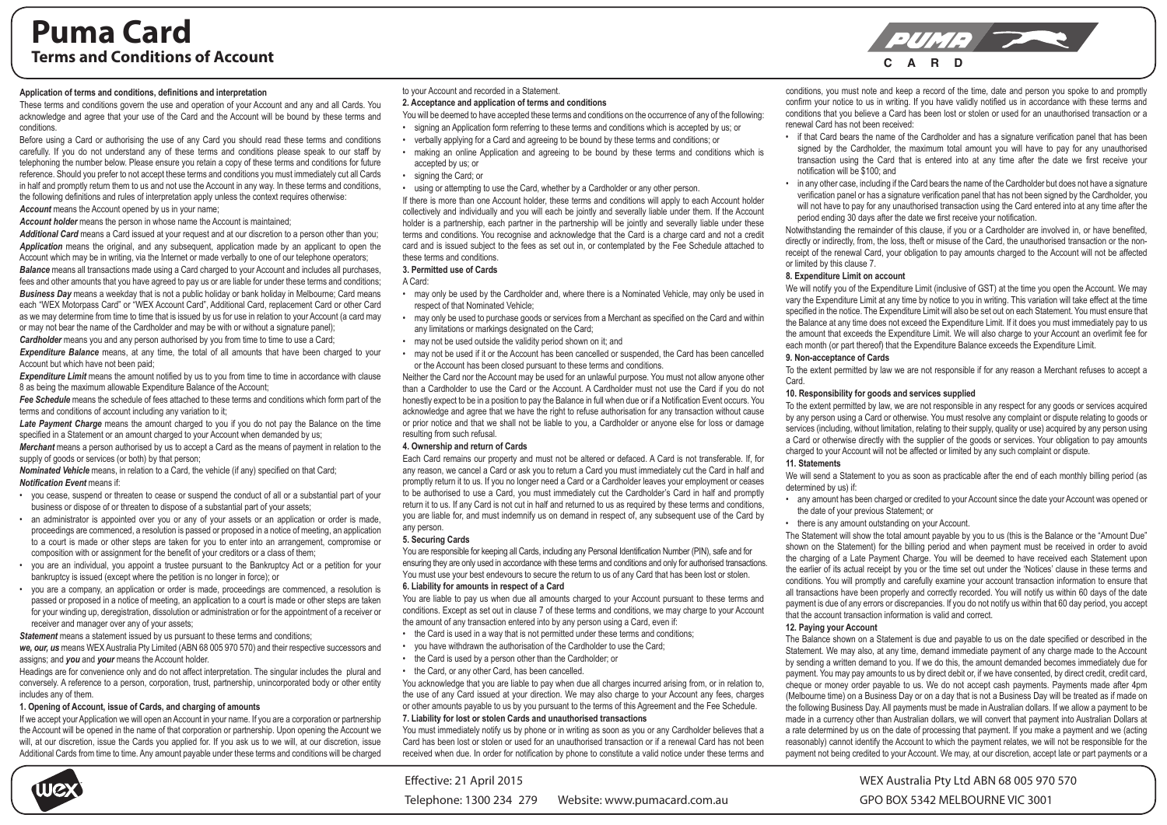# **Puma Card Terms and Conditions of Account**<br> **C A R D**<br> **C A R D**

# **Application of terms and conditions, definitions and interpretation**

These terms and conditions govern the use and operation of your Account and any and all Cards. You acknowledge and agree that your use of the Card and the Account will be bound by these terms and conditions.

Before using a Card or authorising the use of any Card you should read these terms and conditions carefully. If you do not understand any of these terms and conditions please speak to our staff by telephoning the number below. Please ensure you retain a copy of these terms and conditions for future reference. Should you prefer to not accept these terms and conditions you must immediately cut all Cards in half and promptly return them to us and not use the Account in any way. In these terms and conditions, the following definitions and rules of interpretation apply unless the context requires otherwise: *Account* means the Account opened by us in your name;

*Account holder* means the person in whose name the Account is maintained;

*Additional Card* means a Card issued at your request and at our discretion to a person other than you; *Application* means the original, and any subsequent, application made by an applicant to open the Account which may be in writing, via the Internet or made verbally to one of our telephone operators; **Balance** means all transactions made using a Card charged to your Account and includes all purchases, fees and other amounts that you have agreed to pay us or are liable for under these terms and conditions; *Business Day* means a weekday that is not a public holiday or bank holiday in Melbourne; Card means each "WEX Motorpass Card" or "WEX Account Card", Additional Card, replacement Card or other Card as we may determine from time to time that is issued by us for use in relation to your Account (a card may or may not bear the name of the Cardholder and may be with or without a signature panel);

*Cardholder* means you and any person authorised by you from time to time to use a Card;

**Expenditure Balance** means, at any time, the total of all amounts that have been charged to your Account but which have not been paid;

**Expenditure Limit** means the amount notified by us to you from time to time in accordance with clause 8 as being the maximum allowable Expenditure Balance of the Account;

*Fee Schedule* means the schedule of fees attached to these terms and conditions which form part of the terms and conditions of account including any variation to it;

*Late Payment Charge* means the amount charged to you if you do not pay the Balance on the time specified in a Statement or an amount charged to your Account when demanded by us;

*Merchant* means a person authorised by us to accept a Card as the means of payment in relation to the supply of goods or services (or both) by that person:

*Nominated Vehicle* means, in relation to a Card, the vehicle (if any) specified on that Card; *Notification Event* means if:

- you cease, suspend or threaten to cease or suspend the conduct of all or a substantial part of your business or dispose of or threaten to dispose of a substantial part of your assets;
- an administrator is appointed over you or any of your assets or an application or order is made, proceedings are commenced, a resolution is passed or proposed in a notice of meeting, an application to a court is made or other steps are taken for you to enter into an arrangement, compromise or composition with or assignment for the benefit of your creditors or a class of them;
- you are an individual, you appoint a trustee pursuant to the Bankruptcy Act or a petition for your bankruptcy is issued (except where the petition is no longer in force); or
- you are a company, an application or order is made, proceedings are commenced, a resolution is passed or proposed in a notice of meeting, an application to a court is made or other steps are taken for your winding up, deregistration, dissolution or administration or for the appointment of a receiver or receiver and manager over any of your assets;

*Statement* means a statement issued by us pursuant to these terms and conditions:

*we, our, us* means WEXAustralia Pty Limited (ABN 68 005 970 570) and their respective successors and assigns; and *you* and *your* means the Account holder.

Headings are for convenience only and do not affect interpretation. The singular includes the plural and conversely. A reference to a person, corporation, trust, partnership, unincorporated body or other entity includes any of them.

# **1. Opening of Account, issue of Cards, and charging of amounts**

If we accept your Application we will open an Account in your name. If you are a corporation or partnership the Account will be opened in the name of that corporation or partnership. Upon opening the Account we will, at our discretion, issue the Cards you applied for. If you ask us to we will, at our discretion, issue Additional Cards from time to time. Any amount payable under these terms and conditions will be charged

# to your Account and recorded in a Statement.

# **2. Acceptance and application of terms and conditions**

You will be deemed to have accepted these terms and conditions on the occurrence of any of the following:

- signing an Application form referring to these terms and conditions which is accepted by us; or • verbally applying for a Card and agreeing to be bound by these terms and conditions; or
- making an online Application and agreeing to be bound by these terms and conditions which is accepted by us; or
- signing the Card; or
- using or attempting to use the Card, whether by a Cardholder or any other person.

If there is more than one Account holder, these terms and conditions will apply to each Account holder collectively and individually and you will each be jointly and severally liable under them. If the Account holder is a partnership, each partner in the partnership will be jointly and severally liable under these terms and conditions. You recognise and acknowledge that the Card is a charge card and not a credit card and is issued subject to the fees as set out in, or contemplated by the Fee Schedule attached to these terms and conditions.

# **3. Permitted use of Cards**

A Card:

- may only be used by the Cardholder and, where there is a Nominated Vehicle, may only be used in respect of that Nominated Vehicle;
- may only be used to purchase goods or services from a Merchant as specified on the Card and within any limitations or markings designated on the Card;
- may not be used outside the validity period shown on it; and
- may not be used if it or the Account has been cancelled or suspended, the Card has been cancelled or the Account has been closed pursuant to these terms and conditions.

Neither the Card nor the Account may be used for an unlawful purpose. You must not allow anyone other than a Cardholder to use the Card or the Account. A Cardholder must not use the Card if you do not honestly expect to be in a position to pay the Balance in full when due or if a Notification Event occurs. You acknowledge and agree that we have the right to refuse authorisation for any transaction without cause or prior notice and that we shall not be liable to you, a Cardholder or anyone else for loss or damage resulting from such refusal.

# **4. Ownership and return of Cards**

Each Card remains our property and must not be altered or defaced. A Card is not transferable. If, for any reason, we cancel a Card or ask you to return a Card you must immediately cut the Card in half and promptly return it to us. If you no longer need a Card or a Cardholder leaves your employment or ceases to be authorised to use a Card, you must immediately cut the Cardholder's Card in half and promptly return it to us. If any Card is not cut in half and returned to us as required by these terms and conditions, you are liable for, and must indemnify us on demand in respect of, any subsequent use of the Card by any person.

# **5. Securing Cards**

You are responsible for keeping all Cards, including any Personal Identification Number (PIN), safe and for ensuring they are only used in accordance with these terms and conditions and only for authorised transactions. You must use your best endevours to secure the return to us of any Card that has been lost or stolen. **6. Liability for amounts in respect of a Card**

You are liable to pay us when due all amounts charged to your Account pursuant to these terms and conditions. Except as set out in clause 7 of these terms and conditions, we may charge to your Account the amount of any transaction entered into by any person using a Card, even if:

- the Card is used in a way that is not permitted under these terms and conditions;
- you have withdrawn the authorisation of the Cardholder to use the Card;
- the Card is used by a person other than the Cardholder; or
- the Card, or any other Card, has been cancelled.

You acknowledge that you are liable to pay when due all charges incurred arising from, or in relation to, the use of any Card issued at your direction. We may also charge to your Account any fees, charges or other amounts payable to us by you pursuant to the terms of this Agreement and the Fee Schedule.

# **7. Liability for lost or stolen Cards and unauthorised transactions**

You must immediately notify us by phone or in writing as soon as you or any Cardholder believes that a Card has been lost or stolen or used for an unauthorised transaction or if a renewal Card has not been received when due. In order for notification by phone to constitute a valid notice under these terms and

conditions, you must note and keep a record of the time, date and person you spoke to and promptly confirm your notice to us in writing. If you have validly notified us in accordance with these terms and conditions that you believe a Card has been lost or stolen or used for an unauthorised transaction or a renewal Card has not been received:

- if that Card bears the name of the Cardholder and has a signature verification panel that has been signed by the Cardholder, the maximum total amount you will have to pay for any unauthorised transaction using the Card that is entered into at any time after the date we first receive your notification will be \$100; and
- in any other case, including if the Card bears the name of the Cardholder but does not have a signature verification panel or has a signature verification panel that has not been signed by the Cardholder, you will not have to pay for any unauthorised transaction using the Card entered into at any time after the period ending 30 days after the date we first receive your notification.

Notwithstanding the remainder of this clause, if you or a Cardholder are involved in, or have benefited, directly or indirectly, from, the loss, theft or misuse of the Card, the unauthorised transaction or the nonreceipt of the renewal Card, your obligation to pay amounts charged to the Account will not be affected or limited by this clause 7.

# **8. Expenditure Limit on account**

We will notify you of the Expenditure Limit (inclusive of GST) at the time you open the Account. We may vary the Expenditure Limit at any time by notice to you in writing. This variation will take effect at the time specified in the notice. The Expenditure Limit will also be set out on each Statement. You must ensure that the Balance at any time does not exceed the Expenditure Limit. If it does you must immediately pay to us the amount that exceeds the Expenditure Limit. We will also charge to your Account an overlimit fee for each month (or part thereof) that the Expenditure Balance exceeds the Expenditure Limit.

#### **9. Non-acceptance of Cards**

To the extent permitted by law we are not responsible if for any reason a Merchant refuses to accept a Card.

# **10. Responsibility for goods and services supplied**

To the extent permitted by law, we are not responsible in any respect for any goods or services acquired by any person using a Card or otherwise. You must resolve any complaint or dispute relating to goods or services (including, without limitation, relating to their supply, quality or use) acquired by any person using a Card or otherwise directly with the supplier of the goods or services. Your obligation to pay amounts charged to your Account will not be affected or limited by any such complaint or dispute. **11. Statements**

We will send a Statement to you as soon as practicable after the end of each monthly billing period (as determined by us) if:

- any amount has been charged or credited to your Account since the date your Account was opened or the date of your previous Statement; or
- there is any amount outstanding on your Account.

The Statement will show the total amount payable by you to us (this is the Balance or the "Amount Due" shown on the Statement) for the billing period and when payment must be received in order to avoid the charging of a Late Payment Charge. You will be deemed to have received each Statement upon the earlier of its actual receipt by you or the time set out under the 'Notices' clause in these terms and conditions. You will promptly and carefully examine your account transaction information to ensure that all transactions have been properly and correctly recorded. You will notify us within 60 days of the date payment is due of any errors or discrepancies. If you do not notify us within that 60 day period, you accept that the account transaction information is valid and correct.

#### **12. Paying your Account**

The Balance shown on a Statement is due and payable to us on the date specified or described in the Statement. We may also, at any time, demand immediate payment of any charge made to the Account by sending a written demand to you. If we do this, the amount demanded becomes immediately due for payment. You may pay amounts to us by direct debit or, if we have consented, by direct credit, credit card, cheque or money order payable to us. We do not accept cash payments. Payments made after 4pm (Melbourne time) on a Business Day or on a day that is not a Business Day will be treated as if made on the following Business Day. All payments must be made in Australian dollars. If we allow a payment to be made in a currency other than Australian dollars, we will convert that payment into Australian Dollars at a rate determined by us on the date of processing that payment. If you make a payment and we (acting reasonably) cannot identify the Account to which the payment relates, we will not be responsible for the payment not being credited to your Account. We may, at our discretion, accept late or part payments or a

WEX Australia Pty Ltd ABN 68 005 970 570